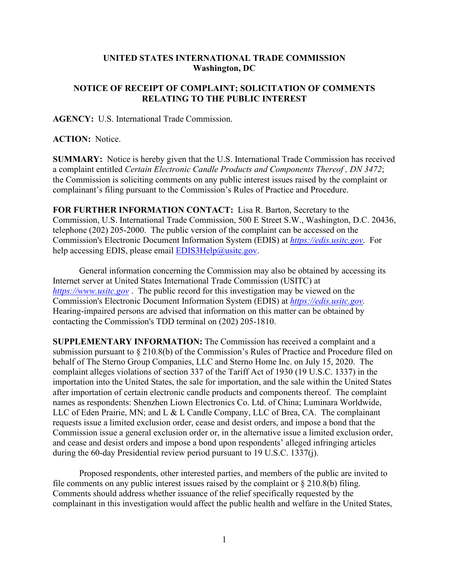## **UNITED STATES INTERNATIONAL TRADE COMMISSION Washington, DC**

## **NOTICE OF RECEIPT OF COMPLAINT; SOLICITATION OF COMMENTS RELATING TO THE PUBLIC INTEREST**

**AGENCY:** U.S. International Trade Commission.

## **ACTION:** Notice.

**SUMMARY:** Notice is hereby given that the U.S. International Trade Commission has received a complaint entitled *Certain Electronic Candle Products and Components Thereof , DN 3472*; the Commission is soliciting comments on any public interest issues raised by the complaint or complainant's filing pursuant to the Commission's Rules of Practice and Procedure.

**FOR FURTHER INFORMATION CONTACT:** Lisa R. Barton, Secretary to the Commission, U.S. International Trade Commission, 500 E Street S.W., Washington, D.C. 20436, telephone (202) 205-2000. The public version of the complaint can be accessed on the Commission's Electronic Document Information System (EDIS) at *[https://edis.usitc.gov](https://edis.usitc.gov/)*. For help accessing EDIS, please email [EDIS3Help@usitc.gov.](mailto:EDIS3Help@usitc.gov)

General information concerning the Commission may also be obtained by accessing its Internet server at United States International Trade Commission (USITC) at *[https://www.usitc.gov](https://www.usitc.gov/)* . The public record for this investigation may be viewed on the Commission's Electronic Document Information System (EDIS) at *[https://edis.usitc.gov.](https://edis.usitc.gov/)* Hearing-impaired persons are advised that information on this matter can be obtained by contacting the Commission's TDD terminal on (202) 205-1810.

**SUPPLEMENTARY INFORMATION:** The Commission has received a complaint and a submission pursuant to § 210.8(b) of the Commission's Rules of Practice and Procedure filed on behalf of The Sterno Group Companies, LLC and Sterno Home Inc. on July 15, 2020. The complaint alleges violations of section 337 of the Tariff Act of 1930 (19 U.S.C. 1337) in the importation into the United States, the sale for importation, and the sale within the United States after importation of certain electronic candle products and components thereof. The complaint names as respondents: Shenzhen Liown Electronics Co. Ltd. of China; Luminara Worldwide, LLC of Eden Prairie, MN; and L & L Candle Company, LLC of Brea, CA. The complainant requests issue a limited exclusion order, cease and desist orders, and impose a bond that the Commission issue a general exclusion order or, in the alternative issue a limited exclusion order, and cease and desist orders and impose a bond upon respondents' alleged infringing articles during the 60-day Presidential review period pursuant to 19 U.S.C. 1337(j).

Proposed respondents, other interested parties, and members of the public are invited to file comments on any public interest issues raised by the complaint or § 210.8(b) filing. Comments should address whether issuance of the relief specifically requested by the complainant in this investigation would affect the public health and welfare in the United States,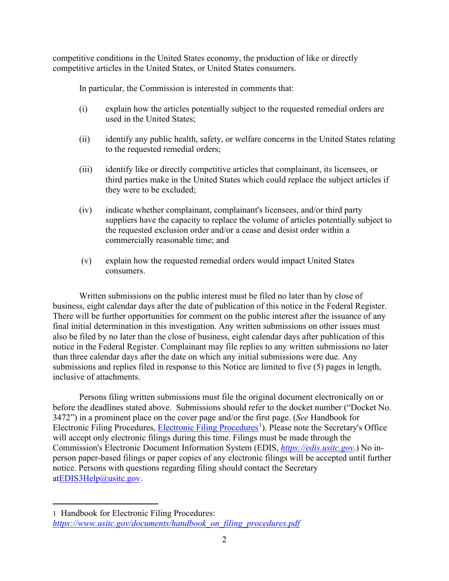competitive conditions in the United States economy, the production of like or directly competitive articles in the United States, or United States consumers.

In particular, the Commission is interested in comments that:

- (i) explain how the articles potentially subject to the requested remedial orders are used in the United States;
- (ii) identify any public health, safety, or welfare concerns in the United States relating to the requested remedial orders;
- (iii) identify like or directly competitive articles that complainant, its licensees, or third parties make in the United States which could replace the subject articles if they were to be excluded;
- (iv) indicate whether complainant, complainant's licensees, and/or third party suppliers have the capacity to replace the volume of articles potentially subject to the requested exclusion order and/or a cease and desist order within a commercially reasonable time; and
- (v) explain how the requested remedial orders would impact United States consumers.

Written submissions on the public interest must be filed no later than by close of business, eight calendar days after the date of publication of this notice in the Federal Register. There will be further opportunities for comment on the public interest after the issuance of any final initial determination in this investigation. Any written submissions on other issues must also be filed by no later than the close of business, eight calendar days after publication of this notice in the Federal Register. Complainant may file replies to any written submissions no later than three calendar days after the date on which any initial submissions were due. Any submissions and replies filed in response to this Notice are limited to five (5) pages in length, inclusive of attachments.

Persons filing written submissions must file the original document electronically on or before the deadlines stated above. Submissions should refer to the docket number ("Docket No. 3472") in a prominent place on the cover page and/or the first page. (*See* Handbook for Electronic Filing Procedures, [Electronic Filing Procedures](https://www.usitc.gov/documents/handbook_on_filing_procedures.pdf)<sup>[1](#page-1-0)</sup>). Please note the Secretary's Office will accept only electronic filings during this time. Filings must be made through the Commission's Electronic Document Information System (EDIS, *[https://edis.usitc.gov](https://edis.usitc.gov/)*.) No inperson paper-based filings or paper copies of any electronic filings will be accepted until further notice. Persons with questions regarding filing should contact the Secretary a[tEDIS3Help@usitc.gov.](mailto:EDIS3Help@usitc.gov)

<span id="page-1-0"></span><sup>1</sup> Handbook for Electronic Filing Procedures: *[https://www.usitc.gov/documents/handbook\\_on\\_filing\\_procedures.pdf](https://www.usitc.gov/documents/handbook_on_filing_procedures.pdf)*